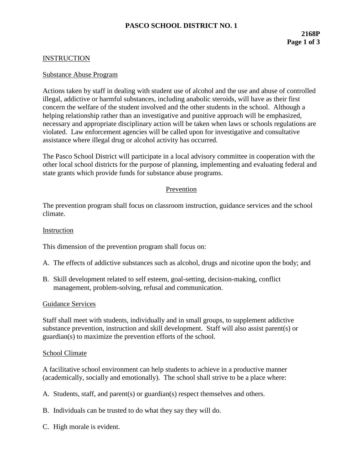# **PASCO SCHOOL DISTRICT NO. 1**

# **INSTRUCTION**

#### Substance Abuse Program

Actions taken by staff in dealing with student use of alcohol and the use and abuse of controlled illegal, addictive or harmful substances, including anabolic steroids, will have as their first concern the welfare of the student involved and the other students in the school. Although a helping relationship rather than an investigative and punitive approach will be emphasized, necessary and appropriate disciplinary action will be taken when laws or schools regulations are violated. Law enforcement agencies will be called upon for investigative and consultative assistance where illegal drug or alcohol activity has occurred.

The Pasco School District will participate in a local advisory committee in cooperation with the other local school districts for the purpose of planning, implementing and evaluating federal and state grants which provide funds for substance abuse programs.

### Prevention

The prevention program shall focus on classroom instruction, guidance services and the school climate.

### Instruction

This dimension of the prevention program shall focus on:

- A. The effects of addictive substances such as alcohol, drugs and nicotine upon the body; and
- B. Skill development related to self esteem, goal-setting, decision-making, conflict management, problem-solving, refusal and communication.

#### Guidance Services

Staff shall meet with students, individually and in small groups, to supplement addictive substance prevention, instruction and skill development. Staff will also assist parent(s) or guardian(s) to maximize the prevention efforts of the school.

#### School Climate

A facilitative school environment can help students to achieve in a productive manner (academically, socially and emotionally). The school shall strive to be a place where:

- A. Students, staff, and parent(s) or guardian(s) respect themselves and others.
- B. Individuals can be trusted to do what they say they will do.
- C. High morale is evident.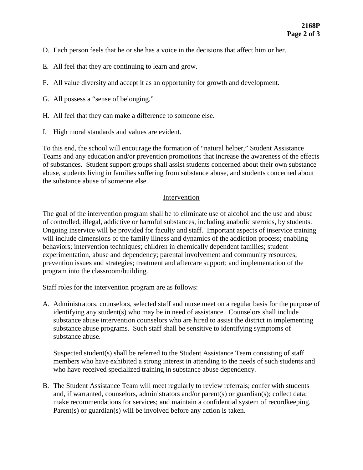- D. Each person feels that he or she has a voice in the decisions that affect him or her.
- E. All feel that they are continuing to learn and grow.
- F. All value diversity and accept it as an opportunity for growth and development.
- G. All possess a "sense of belonging."
- H. All feel that they can make a difference to someone else.
- I. High moral standards and values are evident.

To this end, the school will encourage the formation of "natural helper," Student Assistance Teams and any education and/or prevention promotions that increase the awareness of the effects of substances. Student support groups shall assist students concerned about their own substance abuse, students living in families suffering from substance abuse, and students concerned about the substance abuse of someone else.

# Intervention

The goal of the intervention program shall be to eliminate use of alcohol and the use and abuse of controlled, illegal, addictive or harmful substances, including anabolic steroids, by students. Ongoing inservice will be provided for faculty and staff. Important aspects of inservice training will include dimensions of the family illness and dynamics of the addiction process; enabling behaviors; intervention techniques; children in chemically dependent families; student experimentation, abuse and dependency; parental involvement and community resources; prevention issues and strategies; treatment and aftercare support; and implementation of the program into the classroom/building.

Staff roles for the intervention program are as follows:

A. Administrators, counselors, selected staff and nurse meet on a regular basis for the purpose of identifying any student(s) who may be in need of assistance. Counselors shall include substance abuse intervention counselors who are hired to assist the district in implementing substance abuse programs. Such staff shall be sensitive to identifying symptoms of substance abuse.

Suspected student(s) shall be referred to the Student Assistance Team consisting of staff members who have exhibited a strong interest in attending to the needs of such students and who have received specialized training in substance abuse dependency.

B. The Student Assistance Team will meet regularly to review referrals; confer with students and, if warranted, counselors, administrators and/or parent(s) or guardian(s); collect data; make recommendations for services; and maintain a confidential system of recordkeeping. Parent(s) or guardian(s) will be involved before any action is taken.